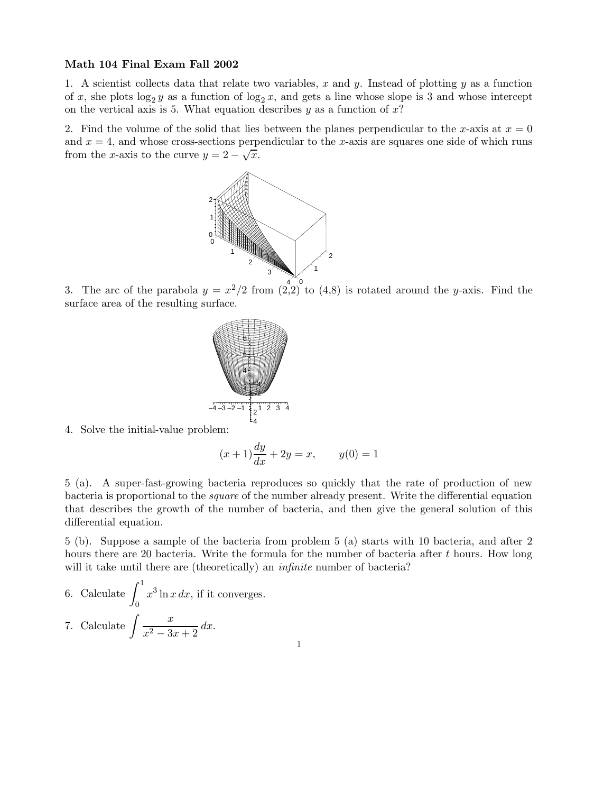## Math 104 Final Exam Fall 2002

1. A scientist collects data that relate two variables, x and y. Instead of plotting y as a function of x, she plots  $\log_2 y$  as a function of  $\log_2 x$ , and gets a line whose slope is 3 and whose intercept on the vertical axis is 5. What equation describes  $y$  as a function of  $x$ ?

2. Find the volume of the solid that lies between the planes perpendicular to the x-axis at  $x = 0$ and  $x = 4$ , and whose cross-sections perpendicular to the x-axis are squares one side of which runs from the x-axis to the curve  $y = 2 - \sqrt{x}$ .



3. The arc of the parabola  $y = x^2/2$  from  $\left(\frac{4}{2}, 2\right)$  to  $(4, 8)$  is rotated around the y-axis. Find the surface area of the resulting surface.



4. Solve the initial-value problem:

$$
(x+1)\frac{dy}{dx} + 2y = x
$$
,  $y(0) = 1$ 

5 (a). A super-fast-growing bacteria reproduces so quickly that the rate of production of new bacteria is proportional to the square of the number already present. Write the differential equation that describes the growth of the number of bacteria, and then give the general solution of this differential equation.

5 (b). Suppose a sample of the bacteria from problem 5 (a) starts with 10 bacteria, and after 2 hours there are 20 bacteria. Write the formula for the number of bacteria after t hours. How long will it take until there are (theoretically) an *infinite* number of bacteria?

6. Calculate 
$$
\int_0^1 x^3 \ln x \, dx
$$
, if it converges.  
7. Calculate  $\int \frac{x}{x^2 - 3x + 2} \, dx$ .